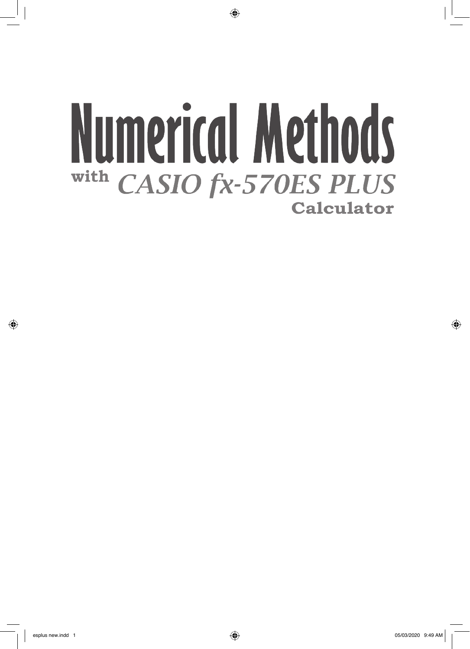# **Numerical Methods** with **CASIO fx-570ES PLUS Calculator**

 $\bigoplus$ 

⊕

 $\bigoplus$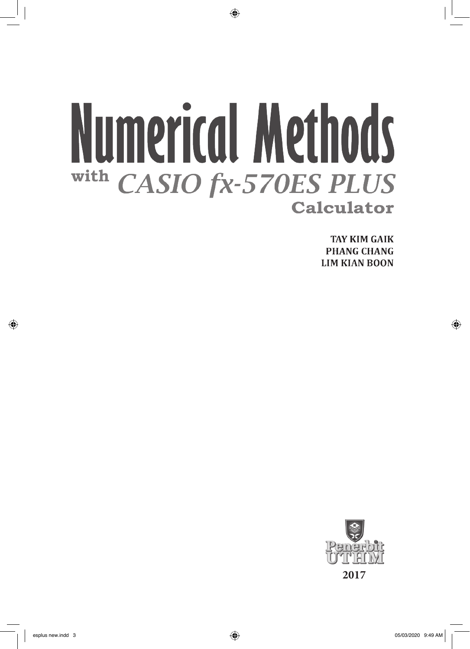# **Numerical Methods** with **CASIO fx-570ES PLUS Calculator**

 $\bigoplus$ 

**TAY KIM GAIK PHANG CHANG LIM KIAN BOON** 



⊕

 $\bigoplus$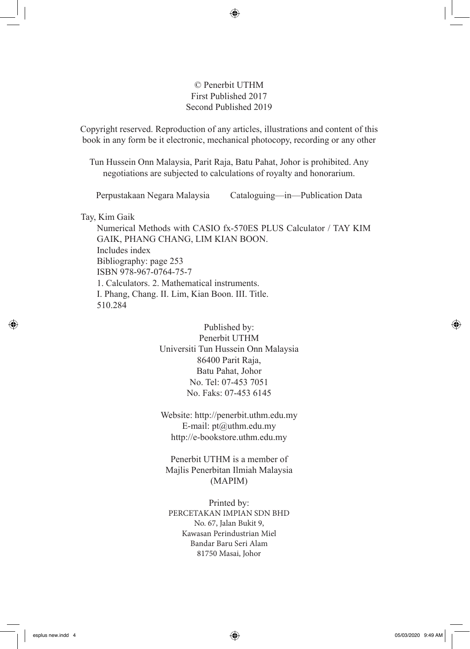#### © Penerbit UTHM First Published 2017 Second Published 2019

⊕

Copyright reserved. Reproduction of any articles, illustrations and content of this book in any form be it electronic, mechanical photocopy, recording or any other form without any prior written permission from The Publisher's Office of Universiti Tun Hussein Onn Malaysia, Parit Raja, Batu Pahat, Johor is prohibited. Any

negotiations are subjected to calculations of royalty and honorarium.

Perpustakaan Negara Malaysia Cataloguing—in—Publication Data

Tay, Kim Gaik

Numerical Methods with CASIO fx-570ES PLUS Calculator / TAY KIM GAIK, PHANG CHANG, LIM KIAN BOON. Includes index Bibliography: page 253 ISBN 978-967-0764-75-7 1. Calculators. 2. Mathematical instruments. I. Phang, Chang. II. Lim, Kian Boon. III. Title. 510.284

> Published by: Penerbit UTHM Universiti Tun Hussein Onn Malaysia 86400 Parit Raja, Batu Pahat, Johor No. Tel: 07-453 7051 No. Faks: 07-453 6145

Website: http://penerbit.uthm.edu.my E-mail: pt@uthm.edu.my http://e-bookstore.uthm.edu.my

Penerbit UTHM is a member of Majlis Penerbitan Ilmiah Malaysia (MAPIM)

Printed by: PERCETAKAN IMPIAN SDN BHD No. 67, Jalan Bukit 9, Kawasan Perindustrian Miel Bandar Baru Seri Alam 81750 Masai, Johor

⊕

⊕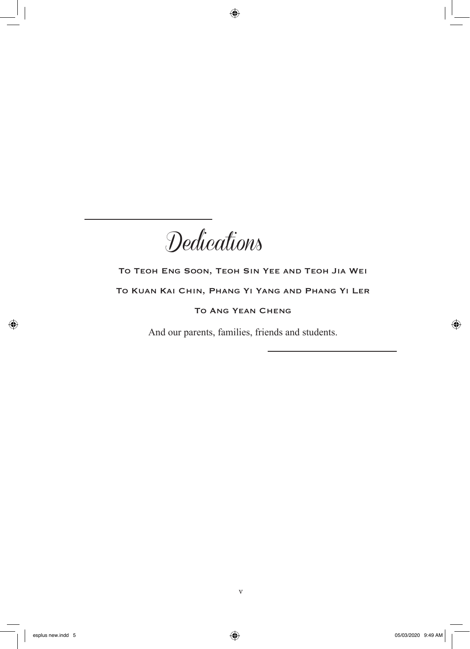**Dedications** 

 $\bigoplus$ 

### To Teoh Eng Soon, Teoh Sin Yee and Teoh Jia Wei To Kuan Kai Chin, Phang Yi Yang and Phang Yi Ler To Ang Yean Cheng

And our parents, families, friends and students.

⊕

 $\bigoplus$ 

v